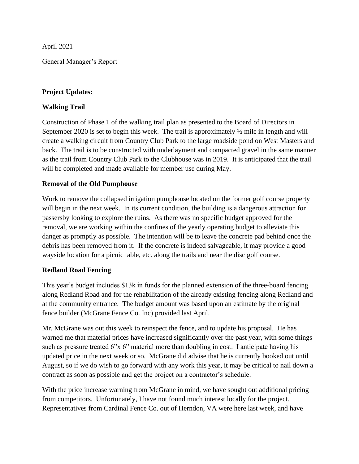April 2021

General Manager's Report

## **Project Updates:**

## **Walking Trail**

Construction of Phase 1 of the walking trail plan as presented to the Board of Directors in September 2020 is set to begin this week. The trail is approximately  $\frac{1}{2}$  mile in length and will create a walking circuit from Country Club Park to the large roadside pond on West Masters and back. The trail is to be constructed with underlayment and compacted gravel in the same manner as the trail from Country Club Park to the Clubhouse was in 2019. It is anticipated that the trail will be completed and made available for member use during May.

## **Removal of the Old Pumphouse**

Work to remove the collapsed irrigation pumphouse located on the former golf course property will begin in the next week. In its current condition, the building is a dangerous attraction for passersby looking to explore the ruins. As there was no specific budget approved for the removal, we are working within the confines of the yearly operating budget to alleviate this danger as promptly as possible. The intention will be to leave the concrete pad behind once the debris has been removed from it. If the concrete is indeed salvageable, it may provide a good wayside location for a picnic table, etc. along the trails and near the disc golf course.

## **Redland Road Fencing**

This year's budget includes \$13k in funds for the planned extension of the three-board fencing along Redland Road and for the rehabilitation of the already existing fencing along Redland and at the community entrance. The budget amount was based upon an estimate by the original fence builder (McGrane Fence Co. Inc) provided last April.

Mr. McGrane was out this week to reinspect the fence, and to update his proposal. He has warned me that material prices have increased significantly over the past year, with some things such as pressure treated 6"x 6" material more than doubling in cost. I anticipate having his updated price in the next week or so. McGrane did advise that he is currently booked out until August, so if we do wish to go forward with any work this year, it may be critical to nail down a contract as soon as possible and get the project on a contractor's schedule.

With the price increase warning from McGrane in mind, we have sought out additional pricing from competitors. Unfortunately, I have not found much interest locally for the project. Representatives from Cardinal Fence Co. out of Herndon, VA were here last week, and have